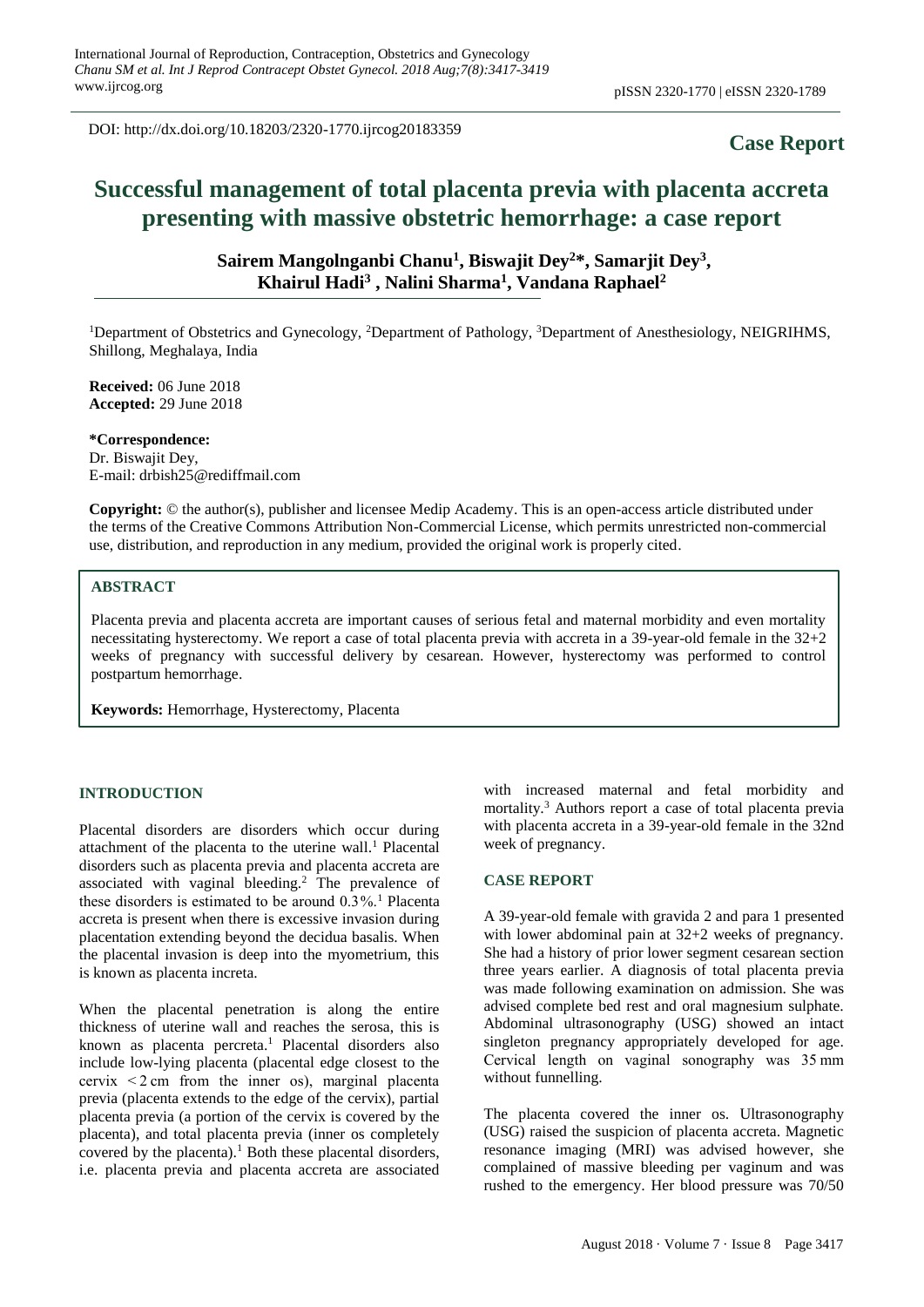DOI: http://dx.doi.org/10.18203/2320-1770.ijrcog20183359

## **Case Report**

# **Successful management of total placenta previa with placenta accreta presenting with massive obstetric hemorrhage: a case report**

Sairem Mangolnganbi Chanu<sup>1</sup>, Biswajit Dey<sup>2\*</sup>, Samarjit Dey<sup>3</sup>, **Khairul Hadi<sup>3</sup> , Nalini Sharma<sup>1</sup> , Vandana Raphael<sup>2</sup>**

<sup>1</sup>Department of Obstetrics and Gynecology, <sup>2</sup>Department of Pathology, <sup>3</sup>Department of Anesthesiology, NEIGRIHMS, Shillong, Meghalaya, India

**Received:** 06 June 2018 **Accepted:** 29 June 2018

**\*Correspondence:** Dr. Biswajit Dey, E-mail: drbish25@rediffmail.com

**Copyright:** © the author(s), publisher and licensee Medip Academy. This is an open-access article distributed under the terms of the Creative Commons Attribution Non-Commercial License, which permits unrestricted non-commercial use, distribution, and reproduction in any medium, provided the original work is properly cited.

#### **ABSTRACT**

Placenta previa and placenta accreta are important causes of serious fetal and maternal morbidity and even mortality necessitating hysterectomy. We report a case of total placenta previa with accreta in a 39-year-old female in the 32+2 weeks of pregnancy with successful delivery by cesarean. However, hysterectomy was performed to control postpartum hemorrhage.

**Keywords:** Hemorrhage, Hysterectomy, Placenta

#### **INTRODUCTION**

Placental disorders are disorders which occur during attachment of the placenta to the uterine wall.<sup>1</sup> Placental disorders such as placenta previa and placenta accreta are associated with vaginal bleeding.<sup>2</sup> The prevalence of these disorders is estimated to be around  $0.3\%$ .<sup>1</sup> Placenta accreta is present when there is excessive invasion during placentation extending beyond the decidua basalis. When the placental invasion is deep into the myometrium, this is known as placenta increta.

When the placental penetration is along the entire thickness of uterine wall and reaches the serosa, this is known as placenta percreta.<sup>1</sup> Placental disorders also include low-lying placenta (placental edge closest to the cervix  $\leq$  2 cm from the inner os), marginal placenta previa (placenta extends to the edge of the cervix), partial placenta previa (a portion of the cervix is covered by the placenta), and total placenta previa (inner os completely covered by the placenta).<sup>1</sup> Both these placental disorders, i.e. placenta previa and placenta accreta are associated with increased maternal and fetal morbidity and mortality.<sup>3</sup> Authors report a case of total placenta previa with placenta accreta in a 39-year-old female in the 32nd week of pregnancy.

#### **CASE REPORT**

A 39-year-old female with gravida 2 and para 1 presented with lower abdominal pain at  $32+2$  weeks of pregnancy. She had a history of prior lower segment cesarean section three years earlier. A diagnosis of total placenta previa was made following examination on admission. She was advised complete bed rest and oral magnesium sulphate. Abdominal ultrasonography (USG) showed an intact singleton pregnancy appropriately developed for age. Cervical length on vaginal sonography was 35 mm without funnelling.

The placenta covered the inner os. Ultrasonography (USG) raised the suspicion of placenta accreta. Magnetic resonance imaging (MRI) was advised however, she complained of massive bleeding per vaginum and was rushed to the emergency. Her blood pressure was 70/50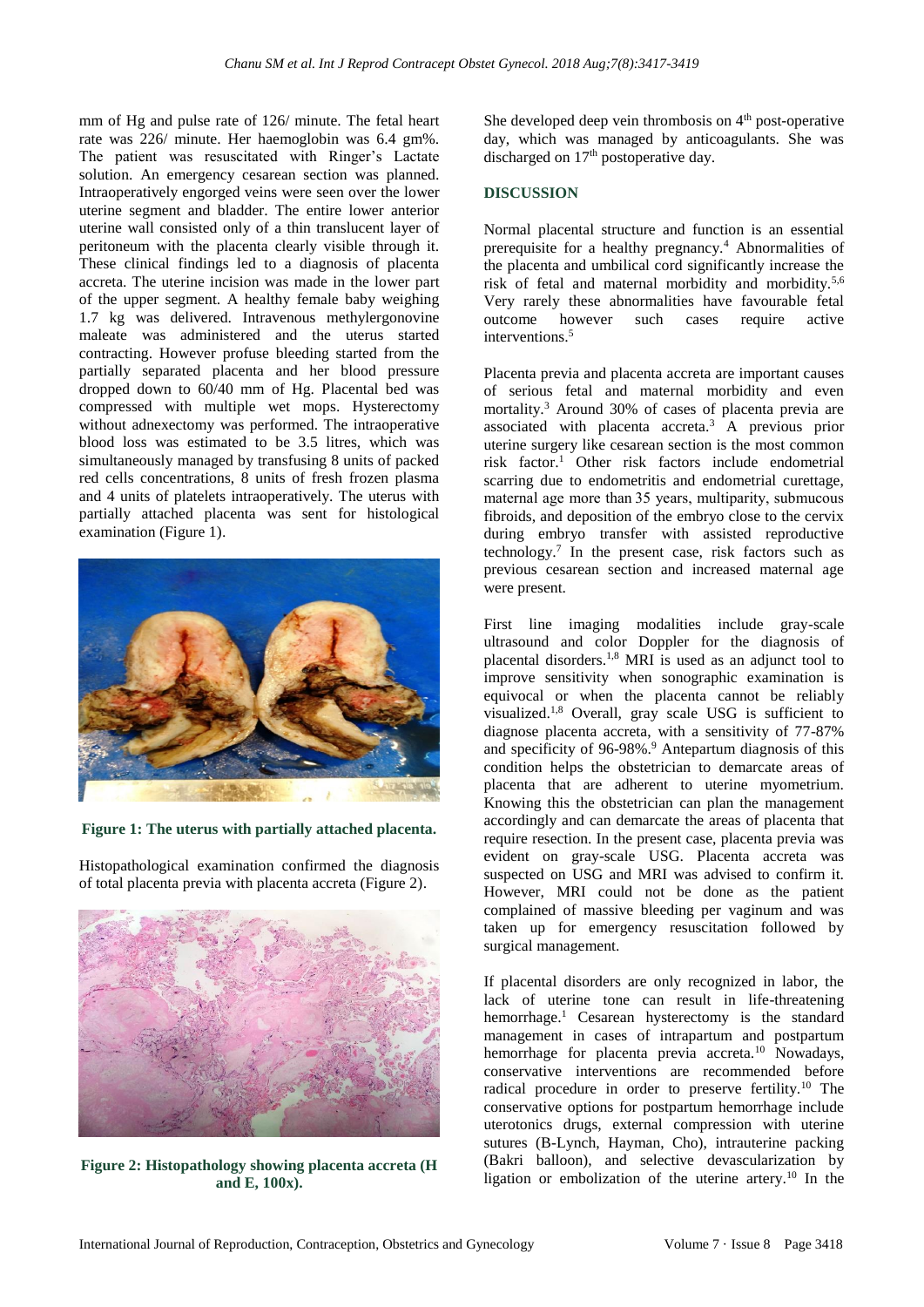mm of Hg and pulse rate of 126/ minute. The fetal heart rate was 226/ minute. Her haemoglobin was 6.4 gm%. The patient was resuscitated with Ringer's Lactate solution. An emergency cesarean section was planned. Intraoperatively engorged veins were seen over the lower uterine segment and bladder. The entire lower anterior uterine wall consisted only of a thin translucent layer of peritoneum with the placenta clearly visible through it. These clinical findings led to a diagnosis of placenta accreta. The uterine incision was made in the lower part of the upper segment. A healthy female baby weighing 1.7 kg was delivered. Intravenous methylergonovine maleate was administered and the uterus started contracting. However profuse bleeding started from the partially separated placenta and her blood pressure dropped down to 60/40 mm of Hg. Placental bed was compressed with multiple wet mops. Hysterectomy without adnexectomy was performed. The intraoperative blood loss was estimated to be 3.5 litres, which was simultaneously managed by transfusing 8 units of packed red cells concentrations, 8 units of fresh frozen plasma and 4 units of platelets intraoperatively. The uterus with partially attached placenta was sent for histological examination (Figure 1).



**Figure 1: The uterus with partially attached placenta.**

Histopathological examination confirmed the diagnosis of total placenta previa with placenta accreta (Figure 2).



**Figure 2: Histopathology showing placenta accreta (H and E, 100x).**

She developed deep vein thrombosis on  $4<sup>th</sup>$  post-operative day, which was managed by anticoagulants. She was discharged on  $17<sup>th</sup>$  postoperative day.

### **DISCUSSION**

Normal placental structure and function is an essential prerequisite for a healthy pregnancy.<sup>4</sup> Abnormalities of the placenta and umbilical cord significantly increase the risk of fetal and maternal morbidity and morbidity.5,6 Very rarely these abnormalities have favourable fetal outcome however such cases require active interventions.<sup>5</sup>

Placenta previa and placenta accreta are important causes of serious fetal and maternal morbidity and even mortality.<sup>3</sup> Around 30% of cases of placenta previa are associated with placenta accreta.<sup>3</sup> A previous prior uterine surgery like cesarean section is the most common risk factor.<sup>1</sup> Other risk factors include endometrial scarring due to endometritis and endometrial curettage, maternal age more than 35 years, multiparity, submucous fibroids, and deposition of the embryo close to the cervix during embryo transfer with assisted reproductive technology.<sup>7</sup> In the present case, risk factors such as previous cesarean section and increased maternal age were present.

First line imaging modalities include gray-scale ultrasound and color Doppler for the diagnosis of placental disorders.1,8 MRI is used as an adjunct tool to improve sensitivity when sonographic examination is equivocal or when the placenta cannot be reliably visualized.1,8 Overall, gray scale USG is sufficient to diagnose placenta accreta, with a sensitivity of 77-87% and specificity of 96-98%.<sup>9</sup> Antepartum diagnosis of this condition helps the obstetrician to demarcate areas of placenta that are adherent to uterine myometrium. Knowing this the obstetrician can plan the management accordingly and can demarcate the areas of placenta that require resection. In the present case, placenta previa was evident on gray-scale USG. Placenta accreta was suspected on USG and MRI was advised to confirm it. However, MRI could not be done as the patient complained of massive bleeding per vaginum and was taken up for emergency resuscitation followed by surgical management.

If placental disorders are only recognized in labor, the lack of uterine tone can result in life-threatening hemorrhage.<sup>1</sup> Cesarean hysterectomy is the standard management in cases of intrapartum and postpartum hemorrhage for placenta previa accreta.<sup>10</sup> Nowadays, conservative interventions are recommended before radical procedure in order to preserve fertility.<sup>10</sup> The conservative options for postpartum hemorrhage include uterotonics drugs, external compression with uterine sutures (B-Lynch, Hayman, Cho), intrauterine packing (Bakri balloon), and selective devascularization by ligation or embolization of the uterine artery.<sup>10</sup> In the